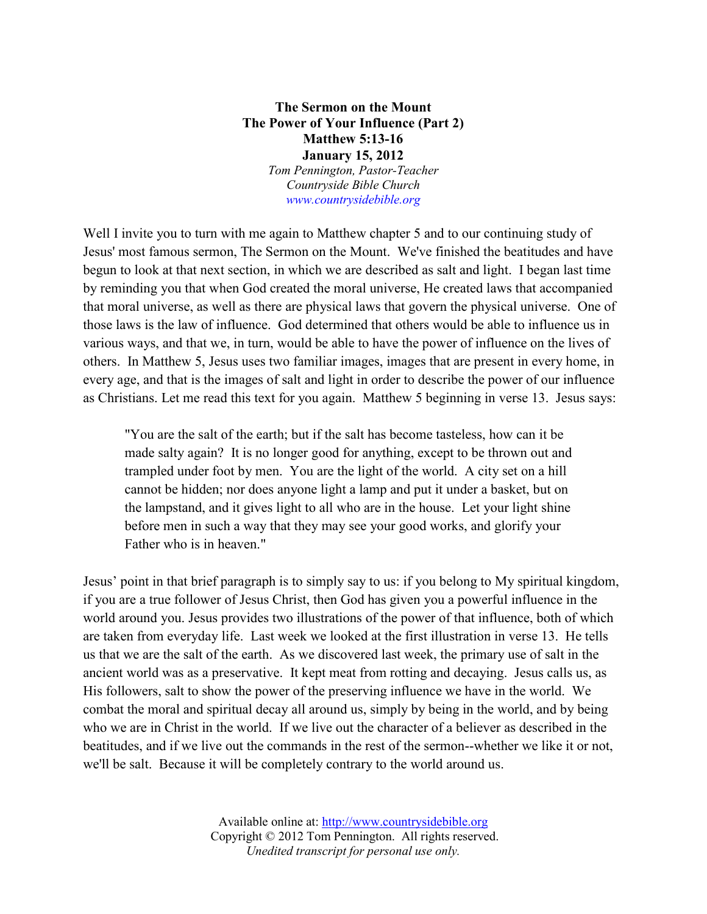## **The Sermon on the Mount The Power of Your Influence (Part 2) Matthew 5:13-16 January 15, 2012** *Tom Pennington, Pastor-Teacher Countryside Bible Church [www.countrysidebible.org](http://www.countrysidebible.org/)*

Well I invite you to turn with me again to Matthew chapter 5 and to our continuing study of Jesus' most famous sermon, The Sermon on the Mount. We've finished the beatitudes and have begun to look at that next section, in which we are described as salt and light. I began last time by reminding you that when God created the moral universe, He created laws that accompanied that moral universe, as well as there are physical laws that govern the physical universe. One of those laws is the law of influence. God determined that others would be able to influence us in various ways, and that we, in turn, would be able to have the power of influence on the lives of others. In Matthew 5, Jesus uses two familiar images, images that are present in every home, in every age, and that is the images of salt and light in order to describe the power of our influence as Christians. Let me read this text for you again. Matthew 5 beginning in verse 13. Jesus says:

"You are the salt of the earth; but if the salt has become tasteless, how can it be made salty again? It is no longer good for anything, except to be thrown out and trampled under foot by men. You are the light of the world. A city set on a hill cannot be hidden; nor does anyone light a lamp and put it under a basket, but on the lampstand, and it gives light to all who are in the house. Let your light shine before men in such a way that they may see your good works, and glorify your Father who is in heaven."

Jesus' point in that brief paragraph is to simply say to us: if you belong to My spiritual kingdom, if you are a true follower of Jesus Christ, then God has given you a powerful influence in the world around you. Jesus provides two illustrations of the power of that influence, both of which are taken from everyday life. Last week we looked at the first illustration in verse 13. He tells us that we are the salt of the earth. As we discovered last week, the primary use of salt in the ancient world was as a preservative. It kept meat from rotting and decaying. Jesus calls us, as His followers, salt to show the power of the preserving influence we have in the world. We combat the moral and spiritual decay all around us, simply by being in the world, and by being who we are in Christ in the world. If we live out the character of a believer as described in the beatitudes, and if we live out the commands in the rest of the sermon--whether we like it or not, we'll be salt. Because it will be completely contrary to the world around us.

> Available online at: [http://www.countrysidebible.org](http://www.countrysidebible.org/) Copyright © 2012 Tom Pennington. All rights reserved. *Unedited transcript for personal use only.*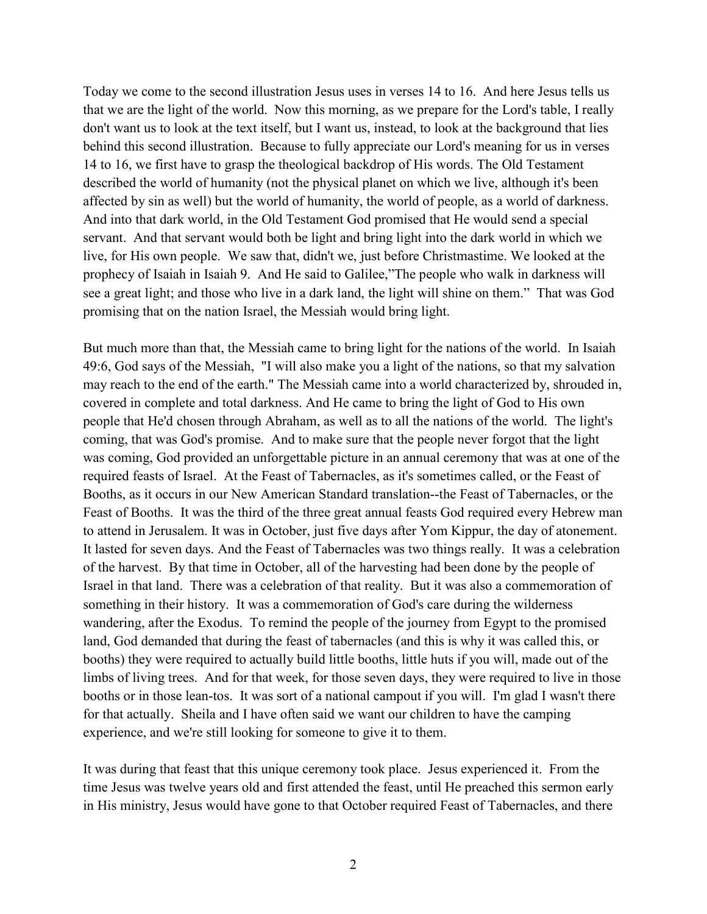Today we come to the second illustration Jesus uses in verses 14 to 16. And here Jesus tells us that we are the light of the world. Now this morning, as we prepare for the Lord's table, I really don't want us to look at the text itself, but I want us, instead, to look at the background that lies behind this second illustration. Because to fully appreciate our Lord's meaning for us in verses 14 to 16, we first have to grasp the theological backdrop of His words. The Old Testament described the world of humanity (not the physical planet on which we live, although it's been affected by sin as well) but the world of humanity, the world of people, as a world of darkness. And into that dark world, in the Old Testament God promised that He would send a special servant. And that servant would both be light and bring light into the dark world in which we live, for His own people. We saw that, didn't we, just before Christmastime. We looked at the prophecy of Isaiah in Isaiah 9. And He said to Galilee,"The people who walk in darkness will see a great light; and those who live in a dark land, the light will shine on them." That was God promising that on the nation Israel, the Messiah would bring light.

But much more than that, the Messiah came to bring light for the nations of the world. In Isaiah 49:6, God says of the Messiah, "I will also make you a light of the nations, so that my salvation may reach to the end of the earth." The Messiah came into a world characterized by, shrouded in, covered in complete and total darkness. And He came to bring the light of God to His own people that He'd chosen through Abraham, as well as to all the nations of the world. The light's coming, that was God's promise. And to make sure that the people never forgot that the light was coming, God provided an unforgettable picture in an annual ceremony that was at one of the required feasts of Israel. At the Feast of Tabernacles, as it's sometimes called, or the Feast of Booths, as it occurs in our New American Standard translation--the Feast of Tabernacles, or the Feast of Booths. It was the third of the three great annual feasts God required every Hebrew man to attend in Jerusalem. It was in October, just five days after Yom Kippur, the day of atonement. It lasted for seven days. And the Feast of Tabernacles was two things really. It was a celebration of the harvest. By that time in October, all of the harvesting had been done by the people of Israel in that land. There was a celebration of that reality. But it was also a commemoration of something in their history. It was a commemoration of God's care during the wilderness wandering, after the Exodus. To remind the people of the journey from Egypt to the promised land, God demanded that during the feast of tabernacles (and this is why it was called this, or booths) they were required to actually build little booths, little huts if you will, made out of the limbs of living trees. And for that week, for those seven days, they were required to live in those booths or in those lean-tos. It was sort of a national campout if you will. I'm glad I wasn't there for that actually. Sheila and I have often said we want our children to have the camping experience, and we're still looking for someone to give it to them.

It was during that feast that this unique ceremony took place. Jesus experienced it. From the time Jesus was twelve years old and first attended the feast, until He preached this sermon early in His ministry, Jesus would have gone to that October required Feast of Tabernacles, and there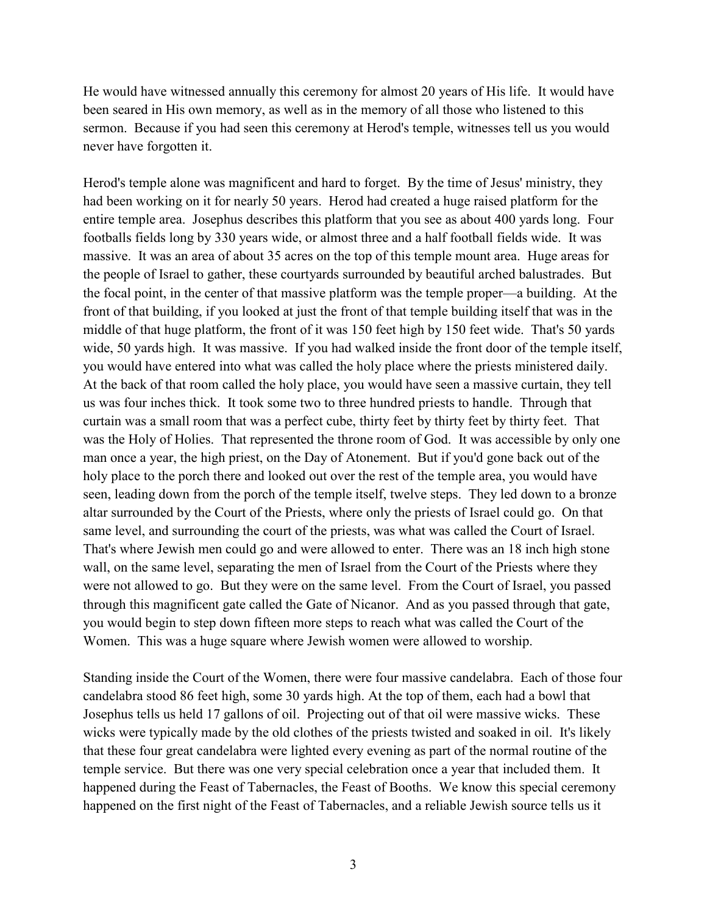He would have witnessed annually this ceremony for almost 20 years of His life. It would have been seared in His own memory, as well as in the memory of all those who listened to this sermon. Because if you had seen this ceremony at Herod's temple, witnesses tell us you would never have forgotten it.

Herod's temple alone was magnificent and hard to forget. By the time of Jesus' ministry, they had been working on it for nearly 50 years. Herod had created a huge raised platform for the entire temple area. Josephus describes this platform that you see as about 400 yards long. Four footballs fields long by 330 years wide, or almost three and a half football fields wide. It was massive. It was an area of about 35 acres on the top of this temple mount area. Huge areas for the people of Israel to gather, these courtyards surrounded by beautiful arched balustrades. But the focal point, in the center of that massive platform was the temple proper—a building. At the front of that building, if you looked at just the front of that temple building itself that was in the middle of that huge platform, the front of it was 150 feet high by 150 feet wide. That's 50 yards wide, 50 yards high. It was massive. If you had walked inside the front door of the temple itself, you would have entered into what was called the holy place where the priests ministered daily. At the back of that room called the holy place, you would have seen a massive curtain, they tell us was four inches thick. It took some two to three hundred priests to handle. Through that curtain was a small room that was a perfect cube, thirty feet by thirty feet by thirty feet. That was the Holy of Holies. That represented the throne room of God. It was accessible by only one man once a year, the high priest, on the Day of Atonement. But if you'd gone back out of the holy place to the porch there and looked out over the rest of the temple area, you would have seen, leading down from the porch of the temple itself, twelve steps. They led down to a bronze altar surrounded by the Court of the Priests, where only the priests of Israel could go. On that same level, and surrounding the court of the priests, was what was called the Court of Israel. That's where Jewish men could go and were allowed to enter. There was an 18 inch high stone wall, on the same level, separating the men of Israel from the Court of the Priests where they were not allowed to go. But they were on the same level. From the Court of Israel, you passed through this magnificent gate called the Gate of Nicanor. And as you passed through that gate, you would begin to step down fifteen more steps to reach what was called the Court of the Women. This was a huge square where Jewish women were allowed to worship.

Standing inside the Court of the Women, there were four massive candelabra. Each of those four candelabra stood 86 feet high, some 30 yards high. At the top of them, each had a bowl that Josephus tells us held 17 gallons of oil. Projecting out of that oil were massive wicks. These wicks were typically made by the old clothes of the priests twisted and soaked in oil. It's likely that these four great candelabra were lighted every evening as part of the normal routine of the temple service. But there was one very special celebration once a year that included them. It happened during the Feast of Tabernacles, the Feast of Booths. We know this special ceremony happened on the first night of the Feast of Tabernacles, and a reliable Jewish source tells us it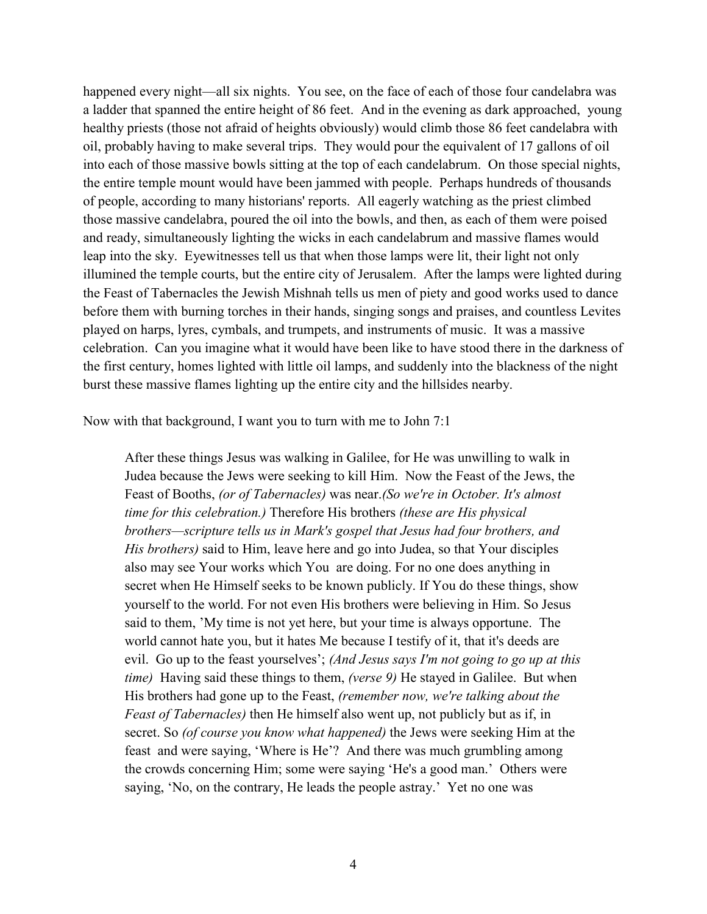happened every night—all six nights. You see, on the face of each of those four candelabra was a ladder that spanned the entire height of 86 feet. And in the evening as dark approached, young healthy priests (those not afraid of heights obviously) would climb those 86 feet candelabra with oil, probably having to make several trips. They would pour the equivalent of 17 gallons of oil into each of those massive bowls sitting at the top of each candelabrum. On those special nights, the entire temple mount would have been jammed with people. Perhaps hundreds of thousands of people, according to many historians' reports. All eagerly watching as the priest climbed those massive candelabra, poured the oil into the bowls, and then, as each of them were poised and ready, simultaneously lighting the wicks in each candelabrum and massive flames would leap into the sky. Eyewitnesses tell us that when those lamps were lit, their light not only illumined the temple courts, but the entire city of Jerusalem. After the lamps were lighted during the Feast of Tabernacles the Jewish Mishnah tells us men of piety and good works used to dance before them with burning torches in their hands, singing songs and praises, and countless Levites played on harps, lyres, cymbals, and trumpets, and instruments of music. It was a massive celebration. Can you imagine what it would have been like to have stood there in the darkness of the first century, homes lighted with little oil lamps, and suddenly into the blackness of the night burst these massive flames lighting up the entire city and the hillsides nearby.

Now with that background, I want you to turn with me to John 7:1

After these things Jesus was walking in Galilee, for He was unwilling to walk in Judea because the Jews were seeking to kill Him. Now the Feast of the Jews, the Feast of Booths, *(or of Tabernacles)* was near.*(So we're in October. It's almost time for this celebration.)* Therefore His brothers *(these are His physical brothers—scripture tells us in Mark's gospel that Jesus had four brothers, and His brothers)* said to Him, leave here and go into Judea, so that Your disciples also may see Your works which You are doing. For no one does anything in secret when He Himself seeks to be known publicly. If You do these things, show yourself to the world. For not even His brothers were believing in Him. So Jesus said to them, 'My time is not yet here, but your time is always opportune. The world cannot hate you, but it hates Me because I testify of it, that it's deeds are evil. Go up to the feast yourselves'; *(And Jesus says I'm not going to go up at this time)* Having said these things to them, *(verse 9)* He stayed in Galilee. But when His brothers had gone up to the Feast, *(remember now, we're talking about the Feast of Tabernacles)* then He himself also went up, not publicly but as if, in secret. So *(of course you know what happened)* the Jews were seeking Him at the feast and were saying, 'Where is He'? And there was much grumbling among the crowds concerning Him; some were saying 'He's a good man.' Others were saying, 'No, on the contrary, He leads the people astray.' Yet no one was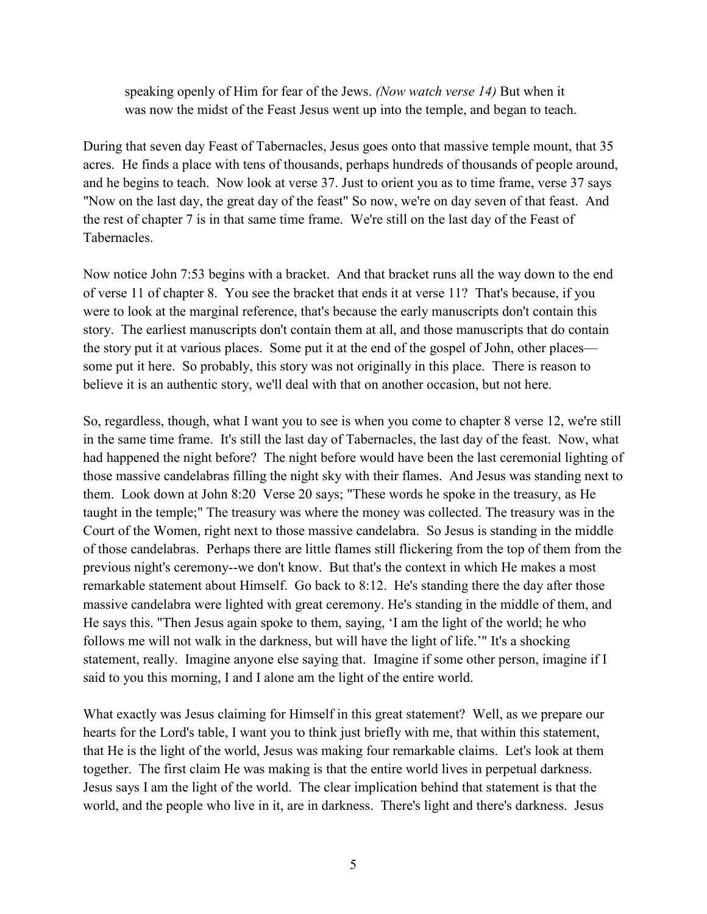speaking openly of Him for fear of the Jews. *(Now watch verse 14)* But when it was now the midst of the Feast Jesus went up into the temple, and began to teach.

During that seven day Feast of Tabernacles, Jesus goes onto that massive temple mount, that 35 acres. He finds a place with tens of thousands, perhaps hundreds of thousands of people around, and he begins to teach. Now look at verse 37. Just to orient you as to time frame, verse 37 says "Now on the last day, the great day of the feast" So now, we're on day seven of that feast. And the rest of chapter 7 is in that same time frame. We're still on the last day of the Feast of Tabernacles.

Now notice John 7:53 begins with a bracket. And that bracket runs all the way down to the end of verse 11 of chapter 8. You see the bracket that ends it at verse 11? That's because, if you were to look at the marginal reference, that's because the early manuscripts don't contain this story. The earliest manuscripts don't contain them at all, and those manuscripts that do contain the story put it at various places. Some put it at the end of the gospel of John, other places some put it here. So probably, this story was not originally in this place. There is reason to believe it is an authentic story, we'll deal with that on another occasion, but not here.

So, regardless, though, what I want you to see is when you come to chapter 8 verse 12, we're still in the same time frame. It's still the last day of Tabernacles, the last day of the feast. Now, what had happened the night before? The night before would have been the last ceremonial lighting of those massive candelabras filling the night sky with their flames. And Jesus was standing next to them. Look down at John 8:20 Verse 20 says; "These words he spoke in the treasury, as He taught in the temple;" The treasury was where the money was collected. The treasury was in the Court of the Women, right next to those massive candelabra. So Jesus is standing in the middle of those candelabras. Perhaps there are little flames still flickering from the top of them from the previous night's ceremony--we don't know. But that's the context in which He makes a most remarkable statement about Himself. Go back to 8:12. He's standing there the day after those massive candelabra were lighted with great ceremony. He's standing in the middle of them, and He says this. "Then Jesus again spoke to them, saying, 'I am the light of the world; he who follows me will not walk in the darkness, but will have the light of life.'" It's a shocking statement, really. Imagine anyone else saying that. Imagine if some other person, imagine if I said to you this morning, I and I alone am the light of the entire world.

What exactly was Jesus claiming for Himself in this great statement? Well, as we prepare our hearts for the Lord's table, I want you to think just briefly with me, that within this statement, that He is the light of the world, Jesus was making four remarkable claims. Let's look at them together. The first claim He was making is that the entire world lives in perpetual darkness. Jesus says I am the light of the world. The clear implication behind that statement is that the world, and the people who live in it, are in darkness. There's light and there's darkness. Jesus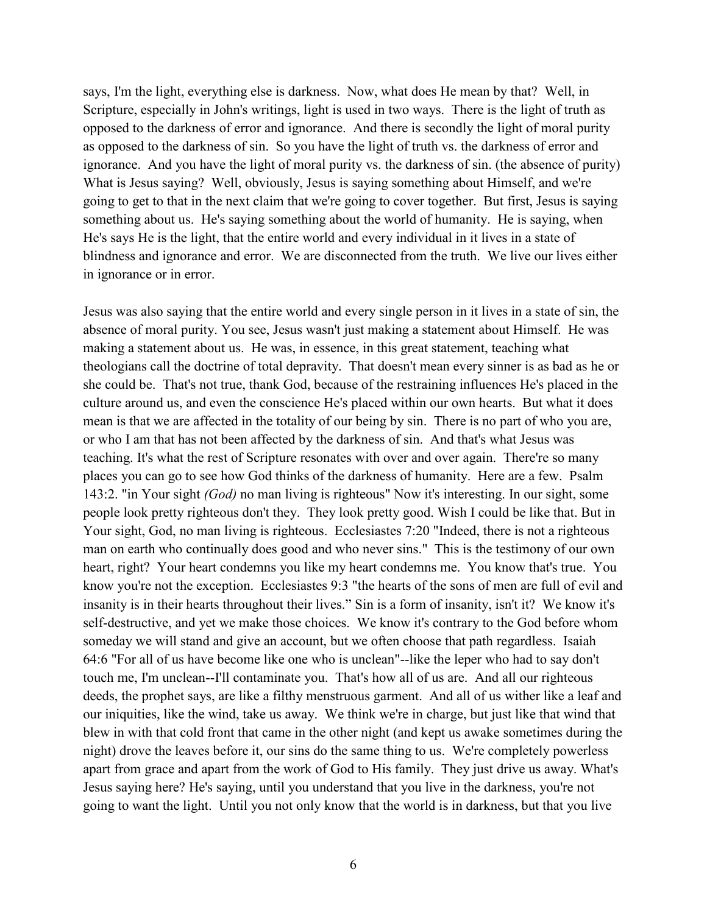says, I'm the light, everything else is darkness. Now, what does He mean by that? Well, in Scripture, especially in John's writings, light is used in two ways. There is the light of truth as opposed to the darkness of error and ignorance. And there is secondly the light of moral purity as opposed to the darkness of sin. So you have the light of truth vs. the darkness of error and ignorance. And you have the light of moral purity vs. the darkness of sin. (the absence of purity) What is Jesus saying? Well, obviously, Jesus is saying something about Himself, and we're going to get to that in the next claim that we're going to cover together. But first, Jesus is saying something about us. He's saying something about the world of humanity. He is saying, when He's says He is the light, that the entire world and every individual in it lives in a state of blindness and ignorance and error. We are disconnected from the truth. We live our lives either in ignorance or in error.

Jesus was also saying that the entire world and every single person in it lives in a state of sin, the absence of moral purity. You see, Jesus wasn't just making a statement about Himself. He was making a statement about us. He was, in essence, in this great statement, teaching what theologians call the doctrine of total depravity. That doesn't mean every sinner is as bad as he or she could be. That's not true, thank God, because of the restraining influences He's placed in the culture around us, and even the conscience He's placed within our own hearts. But what it does mean is that we are affected in the totality of our being by sin. There is no part of who you are, or who I am that has not been affected by the darkness of sin. And that's what Jesus was teaching. It's what the rest of Scripture resonates with over and over again. There're so many places you can go to see how God thinks of the darkness of humanity. Here are a few. Psalm 143:2. "in Your sight *(God)* no man living is righteous" Now it's interesting. In our sight, some people look pretty righteous don't they. They look pretty good. Wish I could be like that. But in Your sight, God, no man living is righteous. Ecclesiastes 7:20 "Indeed, there is not a righteous man on earth who continually does good and who never sins." This is the testimony of our own heart, right? Your heart condemns you like my heart condemns me. You know that's true. You know you're not the exception. Ecclesiastes 9:3 "the hearts of the sons of men are full of evil and insanity is in their hearts throughout their lives." Sin is a form of insanity, isn't it? We know it's self-destructive, and yet we make those choices. We know it's contrary to the God before whom someday we will stand and give an account, but we often choose that path regardless. Isaiah 64:6 "For all of us have become like one who is unclean"--like the leper who had to say don't touch me, I'm unclean--I'll contaminate you. That's how all of us are. And all our righteous deeds, the prophet says, are like a filthy menstruous garment. And all of us wither like a leaf and our iniquities, like the wind, take us away. We think we're in charge, but just like that wind that blew in with that cold front that came in the other night (and kept us awake sometimes during the night) drove the leaves before it, our sins do the same thing to us. We're completely powerless apart from grace and apart from the work of God to His family. They just drive us away. What's Jesus saying here? He's saying, until you understand that you live in the darkness, you're not going to want the light. Until you not only know that the world is in darkness, but that you live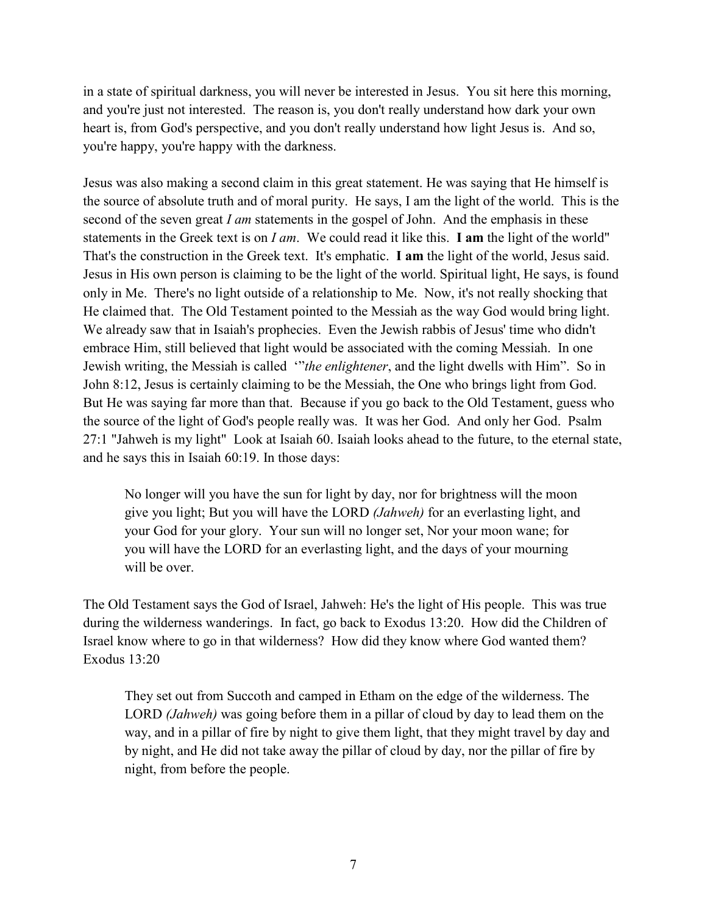in a state of spiritual darkness, you will never be interested in Jesus. You sit here this morning, and you're just not interested. The reason is, you don't really understand how dark your own heart is, from God's perspective, and you don't really understand how light Jesus is. And so, you're happy, you're happy with the darkness.

Jesus was also making a second claim in this great statement. He was saying that He himself is the source of absolute truth and of moral purity. He says, I am the light of the world. This is the second of the seven great *I am* statements in the gospel of John. And the emphasis in these statements in the Greek text is on *I am*. We could read it like this. **I am** the light of the world" That's the construction in the Greek text. It's emphatic. **I am** the light of the world, Jesus said. Jesus in His own person is claiming to be the light of the world. Spiritual light, He says, is found only in Me. There's no light outside of a relationship to Me. Now, it's not really shocking that He claimed that. The Old Testament pointed to the Messiah as the way God would bring light. We already saw that in Isaiah's prophecies. Even the Jewish rabbis of Jesus' time who didn't embrace Him, still believed that light would be associated with the coming Messiah. In one Jewish writing, the Messiah is called '"*the enlightener*, and the light dwells with Him". So in John 8:12, Jesus is certainly claiming to be the Messiah, the One who brings light from God. But He was saying far more than that. Because if you go back to the Old Testament, guess who the source of the light of God's people really was. It was her God. And only her God. Psalm 27:1 "Jahweh is my light" Look at Isaiah 60. Isaiah looks ahead to the future, to the eternal state, and he says this in Isaiah 60:19. In those days:

No longer will you have the sun for light by day, nor for brightness will the moon give you light; But you will have the LORD *(Jahweh)* for an everlasting light, and your God for your glory. Your sun will no longer set, Nor your moon wane; for you will have the LORD for an everlasting light, and the days of your mourning will be over.

The Old Testament says the God of Israel, Jahweh: He's the light of His people. This was true during the wilderness wanderings. In fact, go back to Exodus 13:20. How did the Children of Israel know where to go in that wilderness? How did they know where God wanted them? Exodus 13:20

They set out from Succoth and camped in Etham on the edge of the wilderness. The LORD *(Jahweh)* was going before them in a pillar of cloud by day to lead them on the way, and in a pillar of fire by night to give them light, that they might travel by day and by night, and He did not take away the pillar of cloud by day, nor the pillar of fire by night, from before the people.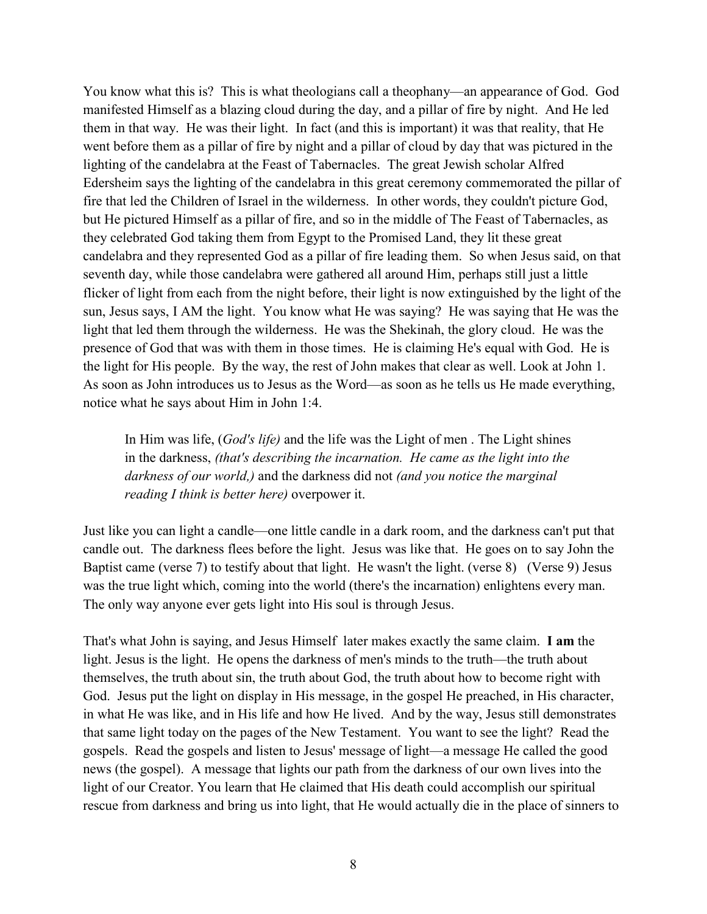You know what this is? This is what theologians call a theophany—an appearance of God. God manifested Himself as a blazing cloud during the day, and a pillar of fire by night. And He led them in that way. He was their light. In fact (and this is important) it was that reality, that He went before them as a pillar of fire by night and a pillar of cloud by day that was pictured in the lighting of the candelabra at the Feast of Tabernacles. The great Jewish scholar Alfred Edersheim says the lighting of the candelabra in this great ceremony commemorated the pillar of fire that led the Children of Israel in the wilderness. In other words, they couldn't picture God, but He pictured Himself as a pillar of fire, and so in the middle of The Feast of Tabernacles, as they celebrated God taking them from Egypt to the Promised Land, they lit these great candelabra and they represented God as a pillar of fire leading them. So when Jesus said, on that seventh day, while those candelabra were gathered all around Him, perhaps still just a little flicker of light from each from the night before, their light is now extinguished by the light of the sun, Jesus says, I AM the light. You know what He was saying? He was saying that He was the light that led them through the wilderness. He was the Shekinah, the glory cloud. He was the presence of God that was with them in those times. He is claiming He's equal with God. He is the light for His people. By the way, the rest of John makes that clear as well. Look at John 1. As soon as John introduces us to Jesus as the Word—as soon as he tells us He made everything, notice what he says about Him in John 1:4.

In Him was life, (*God's life)* and the life was the Light of men . The Light shines in the darkness, *(that's describing the incarnation. He came as the light into the darkness of our world,)* and the darkness did not *(and you notice the marginal reading I think is better here)* overpower it.

Just like you can light a candle—one little candle in a dark room, and the darkness can't put that candle out. The darkness flees before the light. Jesus was like that. He goes on to say John the Baptist came (verse 7) to testify about that light. He wasn't the light. (verse 8) (Verse 9) Jesus was the true light which, coming into the world (there's the incarnation) enlightens every man. The only way anyone ever gets light into His soul is through Jesus.

That's what John is saying, and Jesus Himself later makes exactly the same claim. **I am** the light. Jesus is the light. He opens the darkness of men's minds to the truth—the truth about themselves, the truth about sin, the truth about God, the truth about how to become right with God. Jesus put the light on display in His message, in the gospel He preached, in His character, in what He was like, and in His life and how He lived. And by the way, Jesus still demonstrates that same light today on the pages of the New Testament. You want to see the light? Read the gospels. Read the gospels and listen to Jesus' message of light—a message He called the good news (the gospel). A message that lights our path from the darkness of our own lives into the light of our Creator. You learn that He claimed that His death could accomplish our spiritual rescue from darkness and bring us into light, that He would actually die in the place of sinners to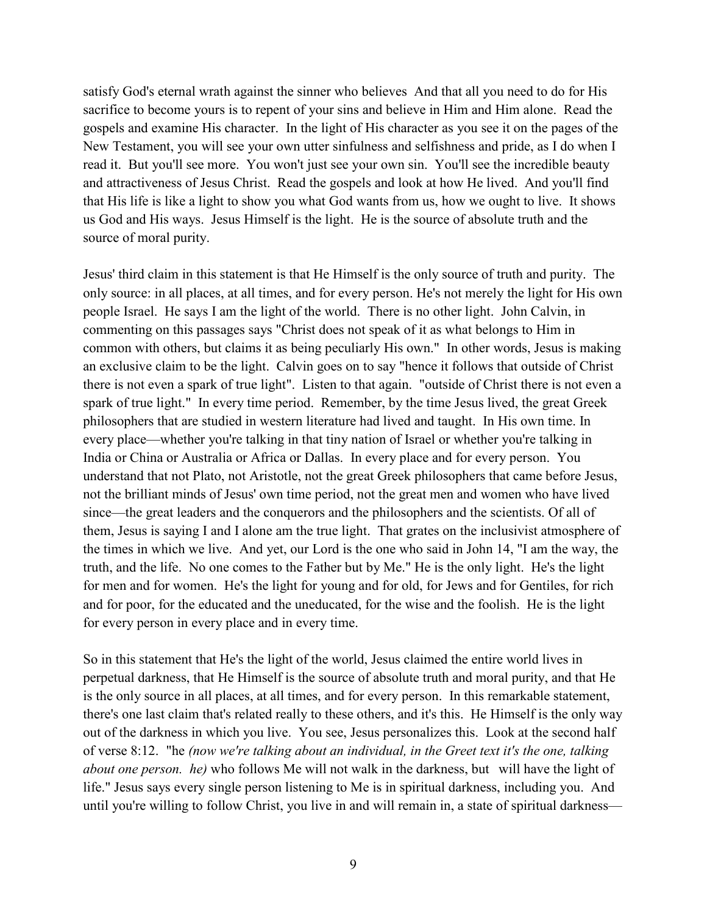satisfy God's eternal wrath against the sinner who believes And that all you need to do for His sacrifice to become yours is to repent of your sins and believe in Him and Him alone. Read the gospels and examine His character. In the light of His character as you see it on the pages of the New Testament, you will see your own utter sinfulness and selfishness and pride, as I do when I read it. But you'll see more. You won't just see your own sin. You'll see the incredible beauty and attractiveness of Jesus Christ. Read the gospels and look at how He lived. And you'll find that His life is like a light to show you what God wants from us, how we ought to live. It shows us God and His ways. Jesus Himself is the light. He is the source of absolute truth and the source of moral purity.

Jesus' third claim in this statement is that He Himself is the only source of truth and purity. The only source: in all places, at all times, and for every person. He's not merely the light for His own people Israel. He says I am the light of the world. There is no other light. John Calvin, in commenting on this passages says "Christ does not speak of it as what belongs to Him in common with others, but claims it as being peculiarly His own." In other words, Jesus is making an exclusive claim to be the light. Calvin goes on to say "hence it follows that outside of Christ there is not even a spark of true light". Listen to that again. "outside of Christ there is not even a spark of true light." In every time period. Remember, by the time Jesus lived, the great Greek philosophers that are studied in western literature had lived and taught. In His own time. In every place—whether you're talking in that tiny nation of Israel or whether you're talking in India or China or Australia or Africa or Dallas. In every place and for every person. You understand that not Plato, not Aristotle, not the great Greek philosophers that came before Jesus, not the brilliant minds of Jesus' own time period, not the great men and women who have lived since—the great leaders and the conquerors and the philosophers and the scientists. Of all of them, Jesus is saying I and I alone am the true light. That grates on the inclusivist atmosphere of the times in which we live. And yet, our Lord is the one who said in John 14, "I am the way, the truth, and the life. No one comes to the Father but by Me." He is the only light. He's the light for men and for women. He's the light for young and for old, for Jews and for Gentiles, for rich and for poor, for the educated and the uneducated, for the wise and the foolish. He is the light for every person in every place and in every time.

So in this statement that He's the light of the world, Jesus claimed the entire world lives in perpetual darkness, that He Himself is the source of absolute truth and moral purity, and that He is the only source in all places, at all times, and for every person. In this remarkable statement, there's one last claim that's related really to these others, and it's this. He Himself is the only way out of the darkness in which you live. You see, Jesus personalizes this. Look at the second half of verse 8:12. "he *(now we're talking about an individual, in the Greet text it's the one, talking about one person. he)* who follows Me will not walk in the darkness, but will have the light of life." Jesus says every single person listening to Me is in spiritual darkness, including you. And until you're willing to follow Christ, you live in and will remain in, a state of spiritual darkness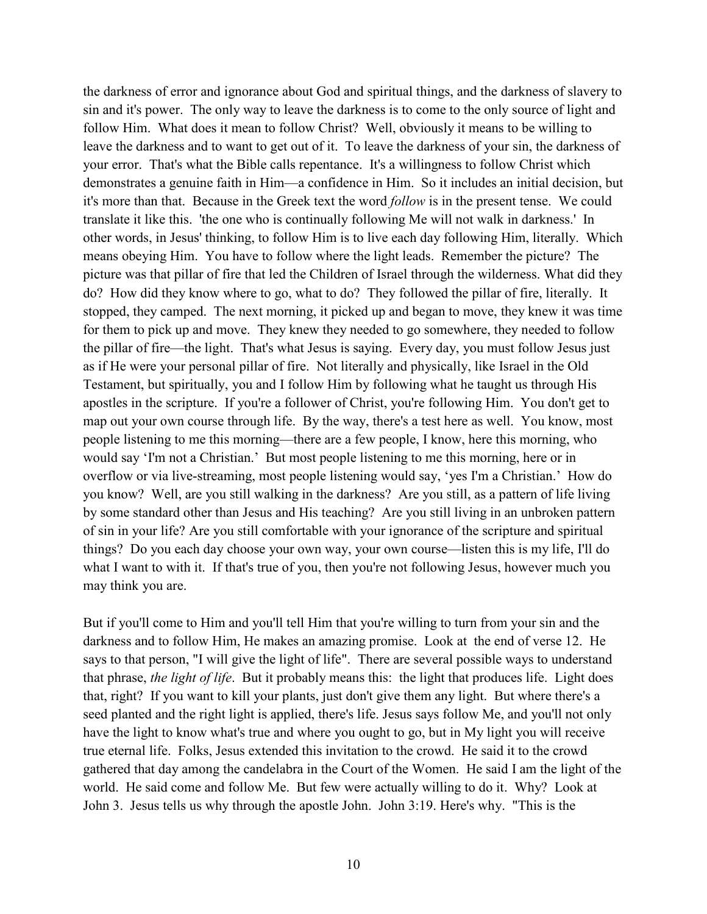the darkness of error and ignorance about God and spiritual things, and the darkness of slavery to sin and it's power. The only way to leave the darkness is to come to the only source of light and follow Him. What does it mean to follow Christ? Well, obviously it means to be willing to leave the darkness and to want to get out of it. To leave the darkness of your sin, the darkness of your error. That's what the Bible calls repentance. It's a willingness to follow Christ which demonstrates a genuine faith in Him—a confidence in Him. So it includes an initial decision, but it's more than that. Because in the Greek text the word *follow* is in the present tense. We could translate it like this. 'the one who is continually following Me will not walk in darkness.' In other words, in Jesus' thinking, to follow Him is to live each day following Him, literally. Which means obeying Him. You have to follow where the light leads. Remember the picture? The picture was that pillar of fire that led the Children of Israel through the wilderness. What did they do? How did they know where to go, what to do? They followed the pillar of fire, literally. It stopped, they camped. The next morning, it picked up and began to move, they knew it was time for them to pick up and move. They knew they needed to go somewhere, they needed to follow the pillar of fire—the light. That's what Jesus is saying. Every day, you must follow Jesus just as if He were your personal pillar of fire. Not literally and physically, like Israel in the Old Testament, but spiritually, you and I follow Him by following what he taught us through His apostles in the scripture. If you're a follower of Christ, you're following Him. You don't get to map out your own course through life. By the way, there's a test here as well. You know, most people listening to me this morning—there are a few people, I know, here this morning, who would say 'I'm not a Christian.' But most people listening to me this morning, here or in overflow or via live-streaming, most people listening would say, 'yes I'm a Christian.' How do you know? Well, are you still walking in the darkness? Are you still, as a pattern of life living by some standard other than Jesus and His teaching? Are you still living in an unbroken pattern of sin in your life? Are you still comfortable with your ignorance of the scripture and spiritual things? Do you each day choose your own way, your own course—listen this is my life, I'll do what I want to with it. If that's true of you, then you're not following Jesus, however much you may think you are.

But if you'll come to Him and you'll tell Him that you're willing to turn from your sin and the darkness and to follow Him, He makes an amazing promise. Look at the end of verse 12. He says to that person, "I will give the light of life". There are several possible ways to understand that phrase, *the light of life*. But it probably means this: the light that produces life. Light does that, right? If you want to kill your plants, just don't give them any light. But where there's a seed planted and the right light is applied, there's life. Jesus says follow Me, and you'll not only have the light to know what's true and where you ought to go, but in My light you will receive true eternal life. Folks, Jesus extended this invitation to the crowd. He said it to the crowd gathered that day among the candelabra in the Court of the Women. He said I am the light of the world. He said come and follow Me. But few were actually willing to do it. Why? Look at John 3. Jesus tells us why through the apostle John. John 3:19. Here's why. "This is the